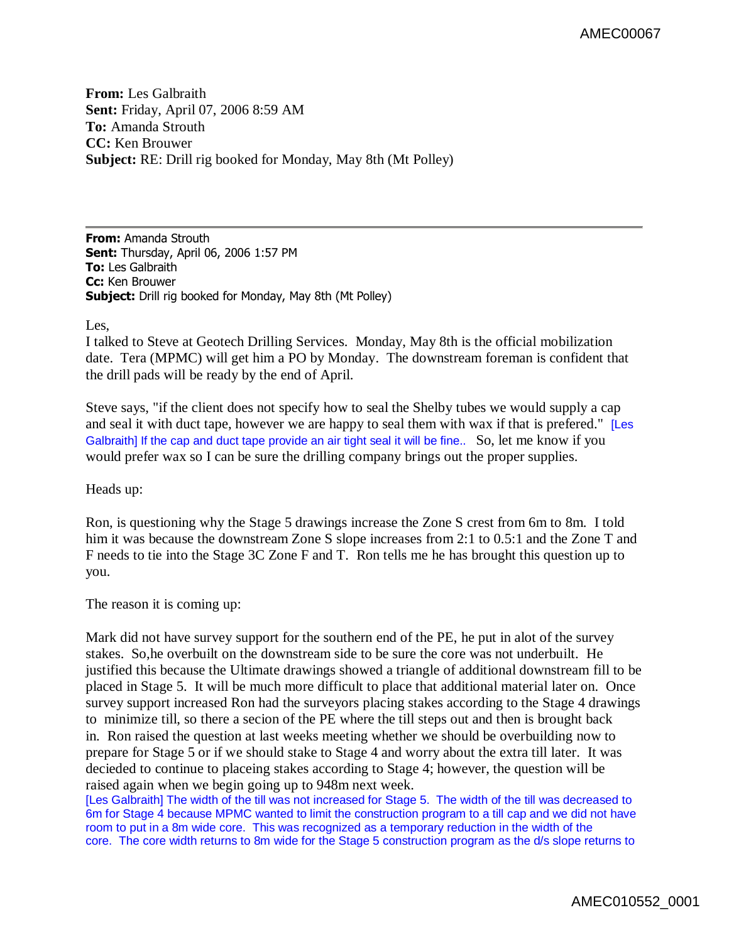**From:** Les Galbraith **Sent:** Friday, April 07, 2006 8:59 AM **To:** Amanda Strouth **CC:** Ken Brouwer **Subject:** RE: Drill rig booked for Monday, May 8th (Mt Polley)

**From:** Amanda Strouth **Sent:** Thursday, April 06, 2006 1:57 PM **To:** Les Galbraith **Cc:** Ken Brouwer **Subject:** Drill rig booked for Monday, May 8th (Mt Polley)

## Les,

I talked to Steve at Geotech Drilling Services. Monday, May 8th is the official mobilization date. Tera (MPMC) will get him a PO by Monday. The downstream foreman is confident that the drill pads will be ready by the end of April.

Steve says, "if the client does not specify how to seal the Shelby tubes we would supply a cap and seal it with duct tape, however we are happy to seal them with wax if that is prefered." [Les Galbraith] If the cap and duct tape provide an air tight seal it will be fine.. So, let me know if you would prefer wax so I can be sure the drilling company brings out the proper supplies.

Heads up:

Ron, is questioning why the Stage 5 drawings increase the Zone S crest from 6m to 8m. I told him it was because the downstream Zone S slope increases from 2:1 to 0.5:1 and the Zone T and F needs to tie into the Stage 3C Zone F and T. Ron tells me he has brought this question up to you.

The reason it is coming up:

Mark did not have survey support for the southern end of the PE, he put in alot of the survey stakes. So,he overbuilt on the downstream side to be sure the core was not underbuilt. He justified this because the Ultimate drawings showed a triangle of additional downstream fill to be placed in Stage 5. It will be much more difficult to place that additional material later on. Once survey support increased Ron had the surveyors placing stakes according to the Stage 4 drawings to minimize till, so there a secion of the PE where the till steps out and then is brought back in. Ron raised the question at last weeks meeting whether we should be overbuilding now to prepare for Stage 5 or if we should stake to Stage 4 and worry about the extra till later. It was decieded to continue to placeing stakes according to Stage 4; however, the question will be raised again when we begin going up to 948m next week.

[Les Galbraith] The width of the till was not increased for Stage 5. The width of the till was decreased to 6m for Stage 4 because MPMC wanted to limit the construction program to a till cap and we did not have room to put in a 8m wide core. This was recognized as a temporary reduction in the width of the core. The core width returns to 8m wide for the Stage 5 construction program as the d/s slope returns to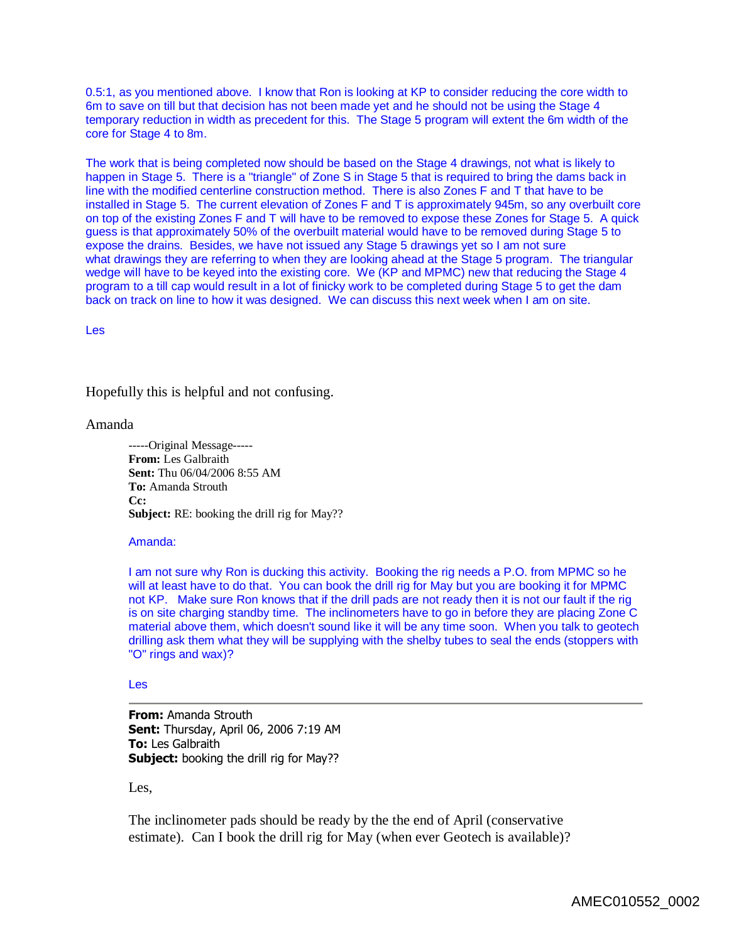0.5:1, as you mentioned above. I know that Ron is looking at KP to consider reducing the core width to 6m to save on till but that decision has not been made yet and he should not be using the Stage 4 temporary reduction in width as precedent for this. The Stage 5 program will extent the 6m width of the core for Stage 4 to 8m.

The work that is being completed now should be based on the Stage 4 drawings, not what is likely to happen in Stage 5. There is a "triangle" of Zone S in Stage 5 that is required to bring the dams back in line with the modified centerline construction method. There is also Zones F and T that have to be installed in Stage 5. The current elevation of Zones F and T is approximately 945m, so any overbuilt core on top of the existing Zones F and T will have to be removed to expose these Zones for Stage 5. A quick guess is that approximately 50% of the overbuilt material would have to be removed during Stage 5 to expose the drains. Besides, we have not issued any Stage 5 drawings yet so I am not sure what drawings they are referring to when they are looking ahead at the Stage 5 program. The triangular wedge will have to be keyed into the existing core. We (KP and MPMC) new that reducing the Stage 4 program to a till cap would result in a lot of finicky work to be completed during Stage 5 to get the dam back on track on line to how it was designed. We can discuss this next week when I am on site.

Les

Hopefully this is helpful and not confusing.

## Amanda

-----Original Message----- **From:** Les Galbraith **Sent:** Thu 06/04/2006 8:55 AM **To:** Amanda Strouth **Cc: Subject:** RE: booking the drill rig for May??

## Amanda:

I am not sure why Ron is ducking this activity. Booking the rig needs a P.O. from MPMC so he will at least have to do that. You can book the drill rig for May but you are booking it for MPMC not KP. Make sure Ron knows that if the drill pads are not ready then it is not our fault if the rig is on site charging standby time. The inclinometers have to go in before they are placing Zone C material above them, which doesn't sound like it will be any time soon. When you talk to geotech drilling ask them what they will be supplying with the shelby tubes to seal the ends (stoppers with "O" rings and wax)?

## Les

**From:** Amanda Strouth **Sent:** Thursday, April 06, 2006 7:19 AM **To:** Les Galbraith **Subject:** booking the drill rig for May??

Les,

The inclinometer pads should be ready by the the end of April (conservative estimate). Can I book the drill rig for May (when ever Geotech is available)?